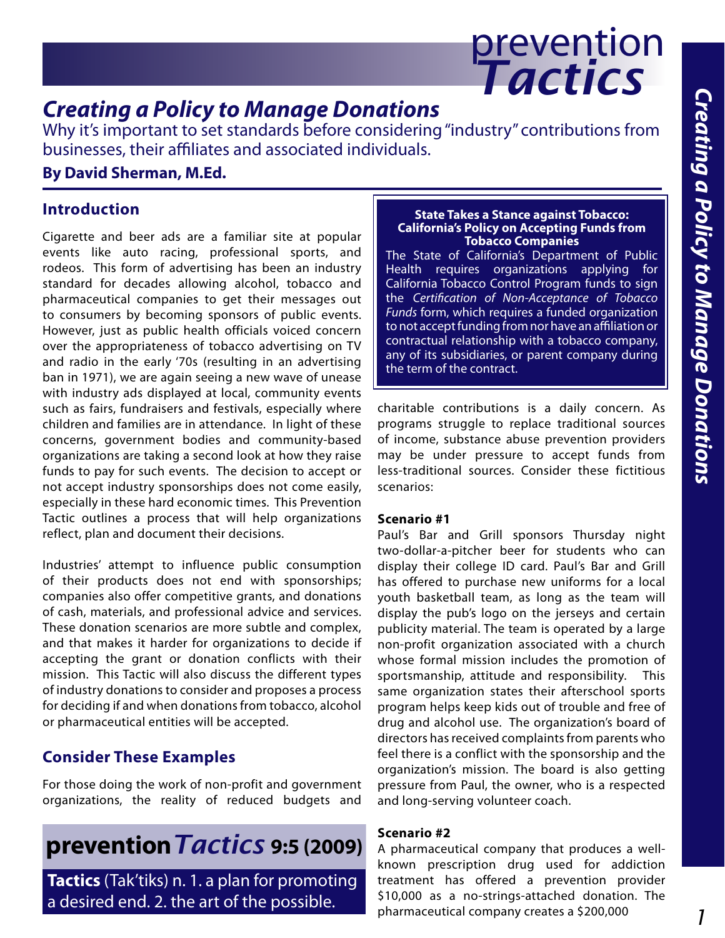

## *Creating a Policy to Manage Donations*

Why it's important to set standards before considering "industry" contributions from businesses, their affiliates and associated individuals.

#### **By David Sherman, M.Ed.**

#### **Introduction**

Cigarette and beer ads are a familiar site at popular events like auto racing, professional sports, and rodeos. This form of advertising has been an industry standard for decades allowing alcohol, tobacco and pharmaceutical companies to get their messages out to consumers by becoming sponsors of public events. However, just as public health officials voiced concern over the appropriateness of tobacco advertising on TV and radio in the early '70s (resulting in an advertising ban in 1971), we are again seeing a new wave of unease with industry ads displayed at local, community events such as fairs, fundraisers and festivals, especially where children and families are in attendance. In light of these concerns, government bodies and community-based organizations are taking a second look at how they raise funds to pay for such events. The decision to accept or not accept industry sponsorships does not come easily, especially in these hard economic times. This Prevention Tactic outlines a process that will help organizations reflect, plan and document their decisions.

Industries' attempt to influence public consumption of their products does not end with sponsorships; companies also offer competitive grants, and donations of cash, materials, and professional advice and services. These donation scenarios are more subtle and complex, and that makes it harder for organizations to decide if accepting the grant or donation conflicts with their mission. This Tactic will also discuss the different types of industry donations to consider and proposes a process for deciding if and when donations from tobacco, alcohol or pharmaceutical entities will be accepted.

#### **Consider These Examples**

For those doing the work of non-profit and government organizations, the reality of reduced budgets and

# **prevention***Tactics* **9:5 (2009)**

**Tactics** (Tak'tiks) n. 1. a plan for promoting a desired end. 2. the art of the possible.

#### **State Takes a Stance against Tobacco: California's Policy on Accepting Funds from Tobacco Companies**

The State of California's Department of Public Health requires organizations applying for California Tobacco Control Program funds to sign the *Certification of Non-Acceptance of Tobacco Funds* form, which requires a funded organization to not accept funding from nor have an affiliation or contractual relationship with a tobacco company, any of its subsidiaries, or parent company during the term of the contract.

charitable contributions is a daily concern. As programs struggle to replace traditional sources of income, substance abuse prevention providers may be under pressure to accept funds from less-traditional sources. Consider these fictitious scenarios:

#### **Scenario #1**

Paul's Bar and Grill sponsors Thursday night two-dollar-a-pitcher beer for students who can display their college ID card. Paul's Bar and Grill has offered to purchase new uniforms for a local youth basketball team, as long as the team will display the pub's logo on the jerseys and certain publicity material. The team is operated by a large non-profit organization associated with a church whose formal mission includes the promotion of sportsmanship, attitude and responsibility. This same organization states their afterschool sports program helps keep kids out of trouble and free of drug and alcohol use. The organization's board of directors has received complaints from parents who feel there is a conflict with the sponsorship and the organization's mission. The board is also getting pressure from Paul, the owner, who is a respected and long-serving volunteer coach.

#### **Scenario #2**

A pharmaceutical company that produces a wellknown prescription drug used for addiction treatment has offered a prevention provider \$10,000 as a no-strings-attached donation. The pharmaceutical company creates a \$200,000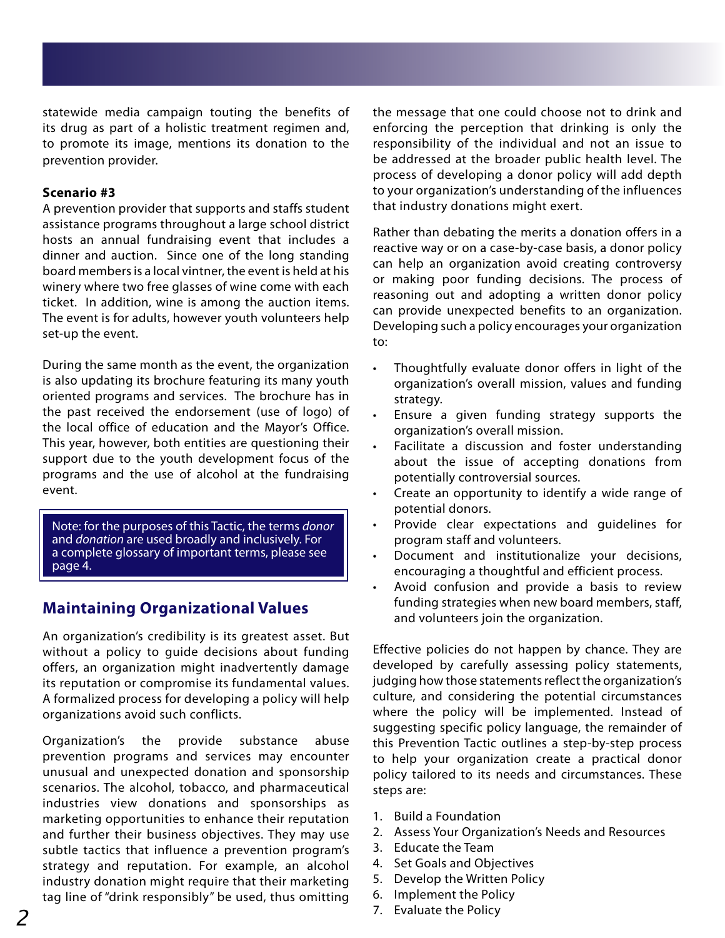statewide media campaign touting the benefits of its drug as part of a holistic treatment regimen and, to promote its image, mentions its donation to the prevention provider.

#### **Scenario #3**

A prevention provider that supports and staffs student assistance programs throughout a large school district hosts an annual fundraising event that includes a dinner and auction. Since one of the long standing board members is a local vintner, the event is held at his winery where two free glasses of wine come with each ticket. In addition, wine is among the auction items. The event is for adults, however youth volunteers help set-up the event.

During the same month as the event, the organization is also updating its brochure featuring its many youth oriented programs and services. The brochure has in the past received the endorsement (use of logo) of the local office of education and the Mayor's Office. This year, however, both entities are questioning their support due to the youth development focus of the programs and the use of alcohol at the fundraising event.

Note: for the purposes of this Tactic, the terms *donor* and *donation* are used broadly and inclusively. For a complete glossary of important terms, please see page 4.

#### **Maintaining Organizational Values**

An organization's credibility is its greatest asset. But without a policy to guide decisions about funding offers, an organization might inadvertently damage its reputation or compromise its fundamental values. A formalized process for developing a policy will help organizations avoid such conflicts.

Organization's the provide substance abuse prevention programs and services may encounter unusual and unexpected donation and sponsorship scenarios. The alcohol, tobacco, and pharmaceutical industries view donations and sponsorships as marketing opportunities to enhance their reputation and further their business objectives. They may use subtle tactics that influence a prevention program's strategy and reputation. For example, an alcohol industry donation might require that their marketing tag line of "drink responsibly" be used, thus omitting the message that one could choose not to drink and enforcing the perception that drinking is only the responsibility of the individual and not an issue to be addressed at the broader public health level. The process of developing a donor policy will add depth to your organization's understanding of the influences that industry donations might exert.

Rather than debating the merits a donation offers in a reactive way or on a case-by-case basis, a donor policy can help an organization avoid creating controversy or making poor funding decisions. The process of reasoning out and adopting a written donor policy can provide unexpected benefits to an organization. Developing such a policy encourages your organization to:

- Thoughtfully evaluate donor offers in light of the organization's overall mission, values and funding strategy.
- Ensure a given funding strategy supports the organization's overall mission.
- Facilitate a discussion and foster understanding about the issue of accepting donations from potentially controversial sources.
- Create an opportunity to identify a wide range of potential donors.
- Provide clear expectations and quidelines for program staff and volunteers.
- Document and institutionalize your decisions, encouraging a thoughtful and efficient process.
- Avoid confusion and provide a basis to review funding strategies when new board members, staff, and volunteers join the organization.

Effective policies do not happen by chance. They are developed by carefully assessing policy statements, judging how those statements reflect the organization's culture, and considering the potential circumstances where the policy will be implemented. Instead of suggesting specific policy language, the remainder of this Prevention Tactic outlines a step-by-step process to help your organization create a practical donor policy tailored to its needs and circumstances. These steps are:

- 1. Build a Foundation
- 2. Assess Your Organization's Needs and Resources
- 3. Educate the Team
- 4. Set Goals and Objectives
- 5. Develop the Written Policy
- 6. Implement the Policy
- 7. Evaluate the Policy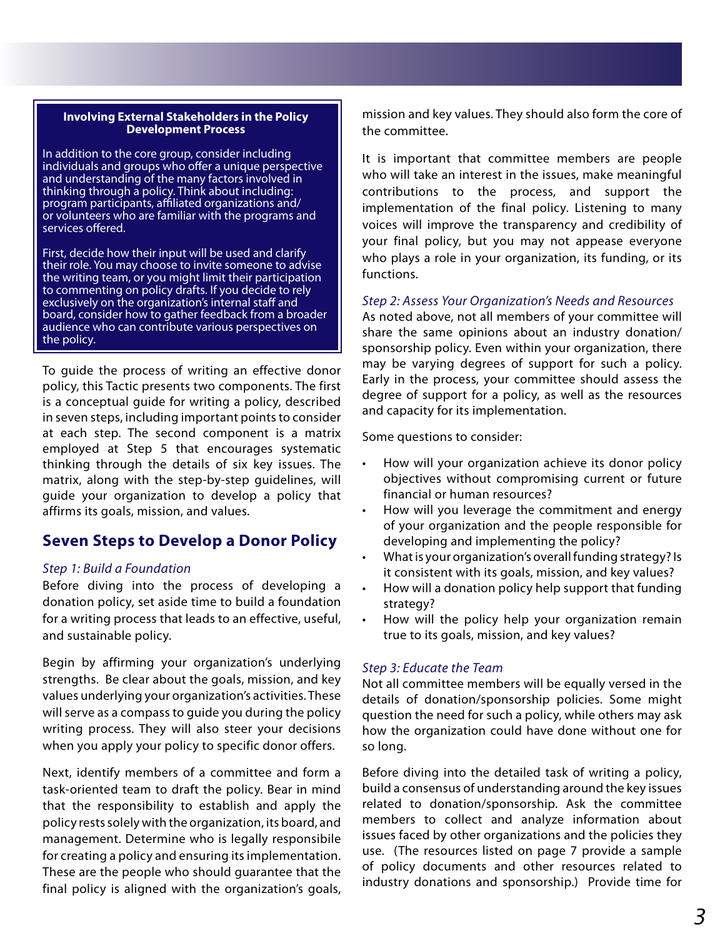#### **Involving External Stakeholders in the Policy Development Process**

In addition to the core group, consider including individuals and groups who offer a unique perspective and understanding of the many factors involved in thinking through a policy. Think about including: program participants, affiliated organizations and/ or volunteers who are familiar with the programs and services offered.

First, decide how their input will be used and clarify their role. You may choose to invite someone to advise the writing team, or you might limit their participation to commenting on policy drafts. If you decide to rely exclusively on the organization's internal staff and board, consider how to gather feedback from a broader audience who can contribute various perspectives on the policy.

To guide the process of writing an effective donor policy, this Tactic presents two components. The first is a conceptual guide for writing a policy, described in seven steps, including important points to consider at each step. The second component is a matrix employed at Step 5 that encourages systematic thinking through the details of six key issues. The matrix, along with the step-by-step guidelines, will guide your organization to develop a policy that affirms its goals, mission, and values.

#### **Seven Steps to Develop a Donor Policy**

#### *Step 1: Build a Foundation*

Before diving into the process of developing a donation policy, set aside time to build a foundation for a writing process that leads to an effective, useful, and sustainable policy.

Begin by affirming your organization's underlying strengths. Be clear about the goals, mission, and key values underlying your organization's activities. These will serve as a compass to guide you during the policy writing process. They will also steer your decisions when you apply your policy to specific donor offers.

Next, identify members of a committee and form a task-oriented team to draft the policy. Bear in mind that the responsibility to establish and apply the policy rests solely with the organization, its board, and management. Determine who is legally responsibile for creating a policy and ensuring its implementation. These are the people who should guarantee that the final policy is aligned with the organization's goals,

mission and key values. They should also form the core of the committee.

It is important that committee members are people who will take an interest in the issues, make meaningful contributions to the process, and support the implementation of the final policy. Listening to many voices will improve the transparency and credibility of your final policy, but you may not appease everyone who plays a role in your organization, its funding, or its functions.

*Step 2: Assess Your Organization's Needs and Resources*

As noted above, not all members of your committee will share the same opinions about an industry donation/ sponsorship policy. Even within your organization, there may be varying degrees of support for such a policy. Early in the process, your committee should assess the degree of support for a policy, as well as the resources and capacity for its implementation.

Some questions to consider:

- How will your organization achieve its donor policy objectives without compromising current or future financial or human resources?
- How will you leverage the commitment and energy of your organization and the people responsible for developing and implementing the policy?
- What is your organization's overall funding strategy? Is it consistent with its goals, mission, and key values?
- How will a donation policy help support that funding strategy?
- How will the policy help your organization remain true to its goals, mission, and key values?

#### *Step 3: Educate the Team*

Not all committee members will be equally versed in the details of donation/sponsorship policies. Some might question the need for such a policy, while others may ask how the organization could have done without one for so long.

Before diving into the detailed task of writing a policy, build a consensus of understanding around the key issues related to donation/sponsorship. Ask the committee members to collect and analyze information about issues faced by other organizations and the policies they use. (The resources listed on page 7 provide a sample of policy documents and other resources related to industry donations and sponsorship.) Provide time for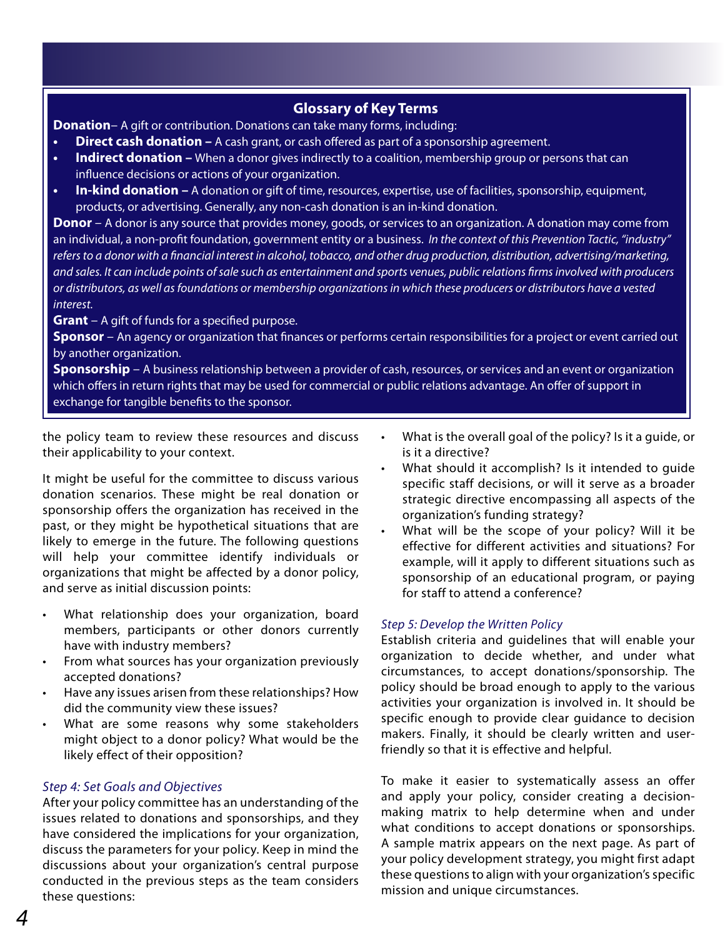#### **Glossary of Key Terms**

**Donation**– A gift or contribution. Donations can take many forms, including:

- **Direct cash donation** A cash grant, or cash offered as part of a sponsorship agreement.
- **Indirect donation –** When a donor gives indirectly to a coalition, membership group or persons that can influence decisions or actions of your organization.
- **In-kind donation –** A donation or gift of time, resources, expertise, use of facilities, sponsorship, equipment, products, or advertising. Generally, any non-cash donation is an in-kind donation.

**Donor** – A donor is any source that provides money, goods, or services to an organization. A donation may come from an individual, a non-profit foundation, government entity or a business. *In the context of this Prevention Tactic, "industry" refers to a donor with a financial interest in alcohol, tobacco, and other drug production, distribution, advertising/marketing, and sales. It can include points of sale such as entertainment and sports venues, public relations firms involved with producers or distributors, as well as foundations or membership organizations in which these producers or distributors have a vested interest.*

**Grant** – A gift of funds for a specified purpose.

**Sponsor** – An agency or organization that finances or performs certain responsibilities for a project or event carried out by another organization.

**Sponsorship** – A business relationship between a provider of cash, resources, or services and an event or organization which offers in return rights that may be used for commercial or public relations advantage. An offer of support in exchange for tangible benefits to the sponsor.

the policy team to review these resources and discuss their applicability to your context.

It might be useful for the committee to discuss various donation scenarios. These might be real donation or sponsorship offers the organization has received in the past, or they might be hypothetical situations that are likely to emerge in the future. The following questions will help your committee identify individuals or organizations that might be affected by a donor policy, and serve as initial discussion points:

- What relationship does your organization, board members, participants or other donors currently have with industry members?
- From what sources has your organization previously accepted donations?
- Have any issues arisen from these relationships? How did the community view these issues?
- What are some reasons why some stakeholders might object to a donor policy? What would be the likely effect of their opposition?

#### *Step 4: Set Goals and Objectives*

After your policy committee has an understanding of the issues related to donations and sponsorships, and they have considered the implications for your organization, discuss the parameters for your policy. Keep in mind the discussions about your organization's central purpose conducted in the previous steps as the team considers these questions:

- What is the overall goal of the policy? Is it a guide, or is it a directive?
- What should it accomplish? Is it intended to quide specific staff decisions, or will it serve as a broader strategic directive encompassing all aspects of the organization's funding strategy?
- What will be the scope of your policy? Will it be effective for different activities and situations? For example, will it apply to different situations such as sponsorship of an educational program, or paying for staff to attend a conference?

#### *Step 5: Develop the Written Policy*

Establish criteria and guidelines that will enable your organization to decide whether, and under what circumstances, to accept donations/sponsorship. The policy should be broad enough to apply to the various activities your organization is involved in. It should be specific enough to provide clear guidance to decision makers. Finally, it should be clearly written and userfriendly so that it is effective and helpful.

To make it easier to systematically assess an offer and apply your policy, consider creating a decisionmaking matrix to help determine when and under what conditions to accept donations or sponsorships. A sample matrix appears on the next page. As part of your policy development strategy, you might first adapt these questions to align with your organization's specific mission and unique circumstances.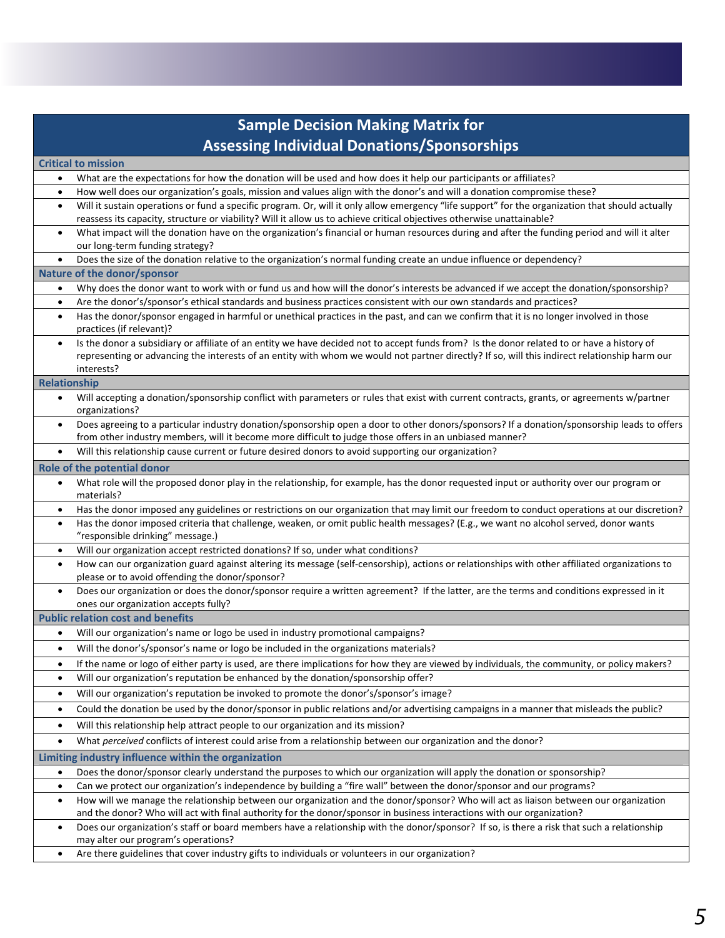| <b>Sample Decision Making Matrix for</b>                                                                                                                                                                                                                            |
|---------------------------------------------------------------------------------------------------------------------------------------------------------------------------------------------------------------------------------------------------------------------|
| <b>Assessing Individual Donations/Sponsorships</b>                                                                                                                                                                                                                  |
| <b>Critical to mission</b>                                                                                                                                                                                                                                          |
| What are the expectations for how the donation will be used and how does it help our participants or affiliates?<br>$\bullet$                                                                                                                                       |
| How well does our organization's goals, mission and values align with the donor's and will a donation compromise these?<br>$\bullet$                                                                                                                                |
| Will it sustain operations or fund a specific program. Or, will it only allow emergency "life support" for the organization that should actually<br>$\bullet$                                                                                                       |
| reassess its capacity, structure or viability? Will it allow us to achieve critical objectives otherwise unattainable?                                                                                                                                              |
| What impact will the donation have on the organization's financial or human resources during and after the funding period and will it alter<br>$\bullet$                                                                                                            |
| our long-term funding strategy?                                                                                                                                                                                                                                     |
| Does the size of the donation relative to the organization's normal funding create an undue influence or dependency?<br>$\bullet$                                                                                                                                   |
| Nature of the donor/sponsor                                                                                                                                                                                                                                         |
| Why does the donor want to work with or fund us and how will the donor's interests be advanced if we accept the donation/sponsorship?<br>$\bullet$                                                                                                                  |
| Are the donor's/sponsor's ethical standards and business practices consistent with our own standards and practices?<br>$\bullet$                                                                                                                                    |
| Has the donor/sponsor engaged in harmful or unethical practices in the past, and can we confirm that it is no longer involved in those<br>$\bullet$<br>practices (if relevant)?                                                                                     |
| Is the donor a subsidiary or affiliate of an entity we have decided not to accept funds from? Is the donor related to or have a history of<br>$\bullet$                                                                                                             |
| representing or advancing the interests of an entity with whom we would not partner directly? If so, will this indirect relationship harm our                                                                                                                       |
| interests?                                                                                                                                                                                                                                                          |
| <b>Relationship</b>                                                                                                                                                                                                                                                 |
| Will accepting a donation/sponsorship conflict with parameters or rules that exist with current contracts, grants, or agreements w/partner<br>$\bullet$<br>organizations?                                                                                           |
| Does agreeing to a particular industry donation/sponsorship open a door to other donors/sponsors? If a donation/sponsorship leads to offers<br>$\bullet$<br>from other industry members, will it become more difficult to judge those offers in an unbiased manner? |
| Will this relationship cause current or future desired donors to avoid supporting our organization?<br>$\bullet$                                                                                                                                                    |
| Role of the potential donor                                                                                                                                                                                                                                         |
| What role will the proposed donor play in the relationship, for example, has the donor requested input or authority over our program or<br>$\bullet$<br>materials?                                                                                                  |
| Has the donor imposed any guidelines or restrictions on our organization that may limit our freedom to conduct operations at our discretion?<br>$\bullet$                                                                                                           |
| Has the donor imposed criteria that challenge, weaken, or omit public health messages? (E.g., we want no alcohol served, donor wants<br>$\bullet$<br>"responsible drinking" message.)                                                                               |
| Will our organization accept restricted donations? If so, under what conditions?<br>$\bullet$                                                                                                                                                                       |
| How can our organization guard against altering its message (self-censorship), actions or relationships with other affiliated organizations to<br>$\bullet$<br>please or to avoid offending the donor/sponsor?                                                      |
| Does our organization or does the donor/sponsor require a written agreement? If the latter, are the terms and conditions expressed in it<br>$\bullet$<br>ones our organization accepts fully?                                                                       |
| <b>Public relation cost and benefits</b>                                                                                                                                                                                                                            |
| Will our organization's name or logo be used in industry promotional campaigns?<br>$\bullet$                                                                                                                                                                        |
| Will the donor's/sponsor's name or logo be included in the organizations materials?<br>$\bullet$                                                                                                                                                                    |
| If the name or logo of either party is used, are there implications for how they are viewed by individuals, the community, or policy makers?<br>٠                                                                                                                   |
| Will our organization's reputation be enhanced by the donation/sponsorship offer?<br>$\bullet$                                                                                                                                                                      |
| Will our organization's reputation be invoked to promote the donor's/sponsor's image?<br>$\bullet$                                                                                                                                                                  |
| Could the donation be used by the donor/sponsor in public relations and/or advertising campaigns in a manner that misleads the public?<br>$\bullet$                                                                                                                 |
| Will this relationship help attract people to our organization and its mission?<br>$\bullet$                                                                                                                                                                        |
| What perceived conflicts of interest could arise from a relationship between our organization and the donor?<br>$\bullet$                                                                                                                                           |
| Limiting industry influence within the organization                                                                                                                                                                                                                 |
| Does the donor/sponsor clearly understand the purposes to which our organization will apply the donation or sponsorship?<br>$\bullet$                                                                                                                               |
| Can we protect our organization's independence by building a "fire wall" between the donor/sponsor and our programs?<br>$\bullet$                                                                                                                                   |
| How will we manage the relationship between our organization and the donor/sponsor? Who will act as liaison between our organization<br>٠                                                                                                                           |
| and the donor? Who will act with final authority for the donor/sponsor in business interactions with our organization?                                                                                                                                              |
| Does our organization's staff or board members have a relationship with the donor/sponsor? If so, is there a risk that such a relationship<br>$\bullet$<br>may alter our program's operations?                                                                      |
| Are there guidelines that cover industry gifts to individuals or volunteers in our organization?<br>$\bullet$                                                                                                                                                       |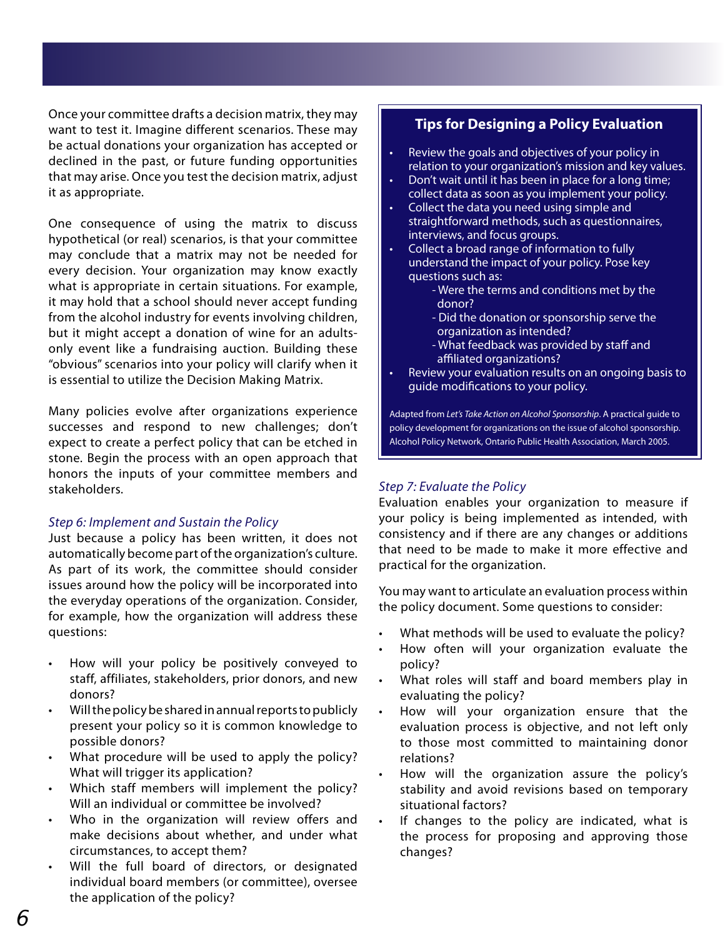Once your committee drafts a decision matrix, they may want to test it. Imagine different scenarios. These may be actual donations your organization has accepted or declined in the past, or future funding opportunities that may arise. Once you test the decision matrix, adjust it as appropriate.

One consequence of using the matrix to discuss hypothetical (or real) scenarios, is that your committee may conclude that a matrix may not be needed for every decision. Your organization may know exactly what is appropriate in certain situations. For example, it may hold that a school should never accept funding from the alcohol industry for events involving children, but it might accept a donation of wine for an adultsonly event like a fundraising auction. Building these "obvious" scenarios into your policy will clarify when it is essential to utilize the Decision Making Matrix.

Many policies evolve after organizations experience successes and respond to new challenges; don't expect to create a perfect policy that can be etched in stone. Begin the process with an open approach that honors the inputs of your committee members and stakeholders.

#### *Step 6: Implement and Sustain the Policy*

Just because a policy has been written, it does not automatically become part of the organization's culture. As part of its work, the committee should consider issues around how the policy will be incorporated into the everyday operations of the organization. Consider, for example, how the organization will address these questions:

- How will your policy be positively conveyed to staff, affiliates, stakeholders, prior donors, and new donors?
- Will the policy be shared in annual reports to publicly present your policy so it is common knowledge to possible donors?
- What procedure will be used to apply the policy? What will trigger its application?
- Which staff members will implement the policy? Will an individual or committee be involved?
- Who in the organization will review offers and make decisions about whether, and under what circumstances, to accept them?
- Will the full board of directors, or designated individual board members (or committee), oversee the application of the policy?

#### **Tips for Designing a Policy Evaluation**

- Review the goals and objectives of your policy in relation to your organization's mission and key values.
- Don't wait until it has been in place for a long time; collect data as soon as you implement your policy.
- • Collect the data you need using simple and straightforward methods, such as questionnaires, interviews, and focus groups.
- Collect a broad range of information to fully understand the impact of your policy. Pose key questions such as:
	- Were the terms and conditions met by the donor?
		- Did the donation or sponsorship serve the organization as intended?
	- What feedback was provided by staff and affiliated organizations?
- Review your evaluation results on an ongoing basis to guide modifications to your policy.

Adapted from *Let's Take Action on Alcohol Sponsorship*. A practical guide to policy development for organizations on the issue of alcohol sponsorship. Alcohol Policy Network, Ontario Public Health Association, March 2005.

#### *Step 7: Evaluate the Policy*

Evaluation enables your organization to measure if your policy is being implemented as intended, with consistency and if there are any changes or additions that need to be made to make it more effective and practical for the organization.

You may want to articulate an evaluation process within the policy document. Some questions to consider:

- What methods will be used to evaluate the policy?
- How often will your organization evaluate the policy?
- What roles will staff and board members play in evaluating the policy?
- How will your organization ensure that the evaluation process is objective, and not left only to those most committed to maintaining donor relations?
- How will the organization assure the policy's stability and avoid revisions based on temporary situational factors?
- If changes to the policy are indicated, what is the process for proposing and approving those changes?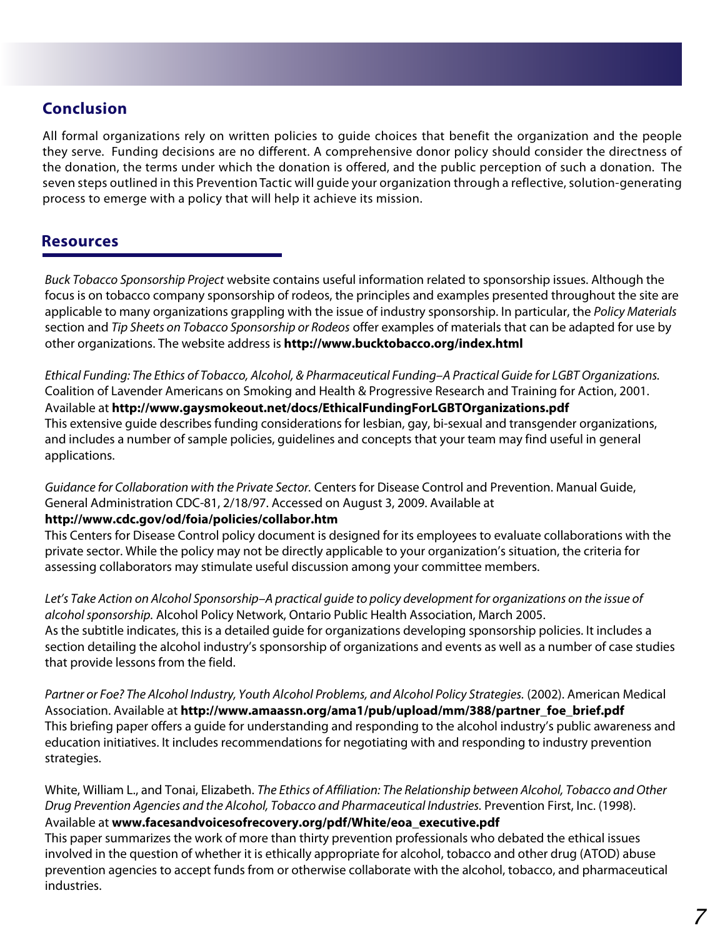#### **Conclusion**

All formal organizations rely on written policies to guide choices that benefit the organization and the people they serve. Funding decisions are no different. A comprehensive donor policy should consider the directness of the donation, the terms under which the donation is offered, and the public perception of such a donation. The seven steps outlined in this Prevention Tactic will guide your organization through a reflective, solution-generating process to emerge with a policy that will help it achieve its mission.

#### **Resources**

*Buck Tobacco Sponsorship Project* website contains useful information related to sponsorship issues. Although the focus is on tobacco company sponsorship of rodeos, the principles and examples presented throughout the site are applicable to many organizations grappling with the issue of industry sponsorship. In particular, the *Policy Materials* section and *Tip Sheets on Tobacco Sponsorship or Rodeos* offer examples of materials that can be adapted for use by other organizations. The website address is **http://www.bucktobacco.org/index.html**

*Ethical Funding: The Ethics of Tobacco, Alcohol, & Pharmaceutical Funding–A Practical Guide for LGBT Organizations.* Coalition of Lavender Americans on Smoking and Health & Progressive Research and Training for Action, 2001. Available at **http://www.gaysmokeout.net/docs/EthicalFundingForLGBTOrganizations.pdf** This extensive guide describes funding considerations for lesbian, gay, bi-sexual and transgender organizations, and includes a number of sample policies, guidelines and concepts that your team may find useful in general applications.

*Guidance for Collaboration with the Private Sector.* Centers for Disease Control and Prevention. Manual Guide, General Administration CDC-81, 2/18/97. Accessed on August 3, 2009. Available at

#### **http://www.cdc.gov/od/foia/policies/collabor.htm**

This Centers for Disease Control policy document is designed for its employees to evaluate collaborations with the private sector. While the policy may not be directly applicable to your organization's situation, the criteria for assessing collaborators may stimulate useful discussion among your committee members.

*Let's Take Action on Alcohol Sponsorship*–*A practical guide to policy development for organizations on the issue of alcohol sponsorship.* Alcohol Policy Network, Ontario Public Health Association, March 2005. As the subtitle indicates, this is a detailed guide for organizations developing sponsorship policies. It includes a section detailing the alcohol industry's sponsorship of organizations and events as well as a number of case studies that provide lessons from the field.

*Partner or Foe? The Alcohol Industry, Youth Alcohol Problems, and Alcohol Policy Strategies.* (2002). American Medical Association. Available at **http://www.amaassn.org/ama1/pub/upload/mm/388/partner\_foe\_brief.pdf** This briefing paper offers a guide for understanding and responding to the alcohol industry's public awareness and education initiatives. It includes recommendations for negotiating with and responding to industry prevention strategies.

White, William L., and Tonai, Elizabeth. *The Ethics of Affiliation: The Relationship between Alcohol, Tobacco and Other Drug Prevention Agencies and the Alcohol, Tobacco and Pharmaceutical Industries.* Prevention First, Inc. (1998). Available at **www.facesandvoicesofrecovery.org/pdf/White/eoa\_executive.pdf**

This paper summarizes the work of more than thirty prevention professionals who debated the ethical issues involved in the question of whether it is ethically appropriate for alcohol, tobacco and other drug (ATOD) abuse prevention agencies to accept funds from or otherwise collaborate with the alcohol, tobacco, and pharmaceutical industries.